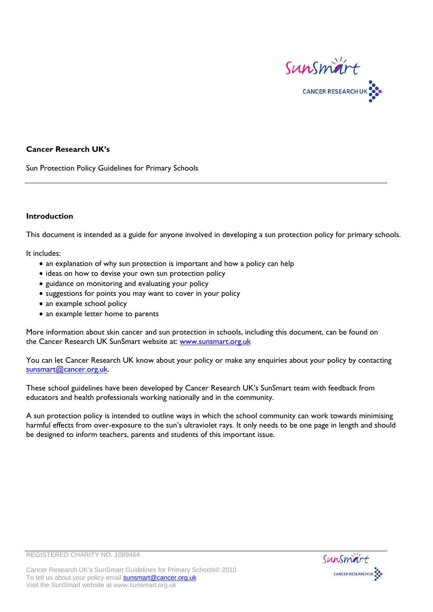

### **Cancer Research UK's**

Sun Protection Policy Guidelines for Primary Schools

#### **Introduction**

This document is intended as a guide for anyone involved in developing a sun protection policy for primary schools.

It includes:

- an explanation of why sun protection is important and how a policy can help
- ideas on how to devise your own sun protection policy
- guidance on monitoring and evaluating your policy
- suggestions for points you may want to cover in your policy
- an example school policy
- an example letter home to parents

More information about skin cancer and sun protection in schools, including this document, can be found on the Cancer Research UK SunSmart website at: [www.sunsmart.org.uk](http://www.sunsmart.org.uk/) 

You can let Cancer Research UK know about your policy or make any enquiries about your policy by contacting [sunsmart@cancer.org.uk.](mailto:sunsmart@cancer.org.uk)

These school guidelines have been developed by Cancer Research UK's SunSmart team with feedback from educators and health professionals working nationally and in the community.

A sun protection policy is intended to outline ways in which the school community can work towards minimising harmful effects from over-exposure to the sun's ultraviolet rays. It only needs to be one page in length and should be designed to inform teachers, parents and students of this important issue.





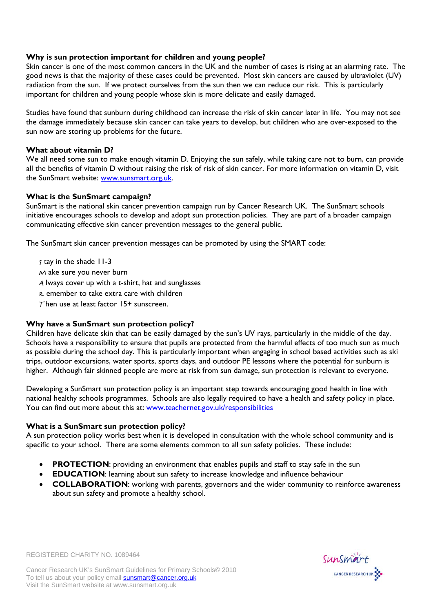## **Why is sun protection important for children and young people?**

Skin cancer is one of the most common cancers in the UK and the number of cases is rising at an alarming rate. The good news is that the majority of these cases could be prevented. Most skin cancers are caused by ultraviolet (UV) radiation from the sun. If we protect ourselves from the sun then we can reduce our risk. This is particularly important for children and young people whose skin is more delicate and easily damaged.

Studies have found that sunburn during childhood can increase the risk of skin cancer later in life. You may not see the damage immediately because skin cancer can take years to develop, but children who are over-exposed to the sun now are storing up problems for the future.

## **What about vitamin D?**

We all need some sun to make enough vitamin D. Enjoying the sun safely, while taking care not to burn, can provide all the benefits of vitamin D without raising the risk of risk of skin cancer. For more information on vitamin D, visit the SunSmart website: [www.sunsmart.org.uk](http://www.sunsmart.org.uk/).

# **What is the SunSmart campaign?**

SunSmart is the national skin cancer prevention campaign run by Cancer Research UK. The SunSmart schools initiative encourages schools to develop and adopt sun protection policies. They are part of a broader campaign communicating effective skin cancer prevention messages to the general public.

The SunSmart skin cancer prevention messages can be promoted by using the SMART code:

S tay in the shade 11-3

M ake sure you never burn

A lways cover up with a t-shirt, hat and sunglasses

- R emember to take extra care with children
- Then use at least factor  $15+$  sunscreen.

## **Why have a SunSmart sun protection policy?**

Children have delicate skin that can be easily damaged by the sun's UV rays, particularly in the middle of the day. Schools have a responsibility to ensure that pupils are protected from the harmful effects of too much sun as much as possible during the school day. This is particularly important when engaging in school based activities such as ski trips, outdoor excursions, water sports, sports days, and outdoor PE lessons where the potential for sunburn is higher. Although fair skinned people are more at risk from sun damage, sun protection is relevant to everyone.

Developing a SunSmart sun protection policy is an important step towards encouraging good health in line with national healthy schools programmes. Schools are also legally required to have a health and safety policy in place. You can find out more about this at: www.teachernet.gov.uk/responsibilities

## **What is a SunSmart sun protection policy?**

REGISTERED CHARITY NO. 1089464

A sun protection policy works best when it is developed in consultation with the whole school community and is specific to your school. There are some elements common to all sun safety policies. These include:

- **PROTECTION:** providing an environment that enables pupils and staff to stay safe in the sun
- **EDUCATION:** learning about sun safety to increase knowledge and influence behaviour
- **COLLABORATION**: working with parents, governors and the wider community to reinforce awareness about sun safety and promote a healthy school.

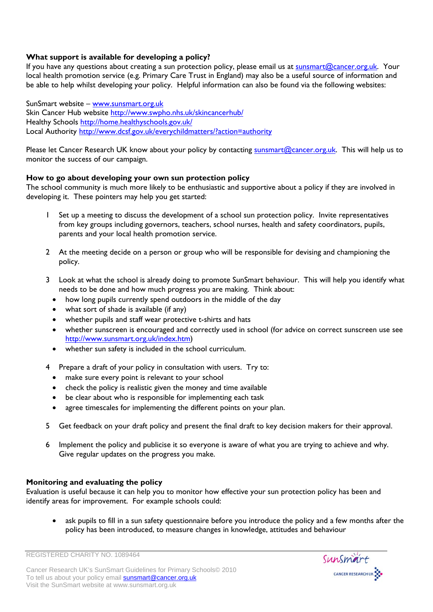## **What support is available for developing a policy?**

If you have any questions about creating a sun protection policy, please email us at [sunsmart@cancer.org.uk.](mailto:sunsmart@cancer.org.uk) Your local health promotion service (e.g. Primary Care Trust in England) may also be a useful source of information and be able to help whilst developing your policy. Helpful information can also be found via the following websites:

SunSmart website – [www.sunsmart.org.uk](http://www.sunsmart.org.uk/)  Skin Cancer Hub website<http://www.swpho.nhs.uk/skincancerhub/> Healthy Schools <http://home.healthyschools.gov.uk/> Local Authority <http://www.dcsf.gov.uk/everychildmatters/?action=authority>

Please let Cancer Research UK know about your policy by contacting [sunsmart@cancer.org.uk.](mailto:sunsmart@cancer.org.uk) This will help us to monitor the success of our campaign.

## **How to go about developing your own sun protection policy**

The school community is much more likely to be enthusiastic and supportive about a policy if they are involved in developing it. These pointers may help you get started:

- 1 Set up a meeting to discuss the development of a school sun protection policy. Invite representatives from key groups including governors, teachers, school nurses, health and safety coordinators, pupils, parents and your local health promotion service.
- 2 At the meeting decide on a person or group who will be responsible for devising and championing the policy.
- 3 Look at what the school is already doing to promote SunSmart behaviour. This will help you identify what needs to be done and how much progress you are making. Think about:
	- how long pupils currently spend outdoors in the middle of the day
	- what sort of shade is available (if any)
	- whether pupils and staff wear protective t-shirts and hats
	- whether sunscreen is encouraged and correctly used in school (for advice on correct sunscreen use see [http://www.sunsmart.org.uk/index.htm\)](http://www.sunsmart.org.uk/index.htm)
	- whether sun safety is included in the school curriculum.
- 4 Prepare a draft of your policy in consultation with users. Try to:
	- make sure every point is relevant to your school
	- check the policy is realistic given the money and time available
	- be clear about who is responsible for implementing each task
	- agree timescales for implementing the different points on your plan.
- 5 Get feedback on your draft policy and present the final draft to key decision makers for their approval.
- 6 Implement the policy and publicise it so everyone is aware of what you are trying to achieve and why. Give regular updates on the progress you make.

## **Monitoring and evaluating the policy**

Evaluation is useful because it can help you to monitor how effective your sun protection policy has been and identify areas for improvement. For example schools could:

• ask pupils to fill in a sun safety questionnaire before you introduce the policy and a few months after the policy has been introduced, to measure changes in knowledge, attitudes and behaviour





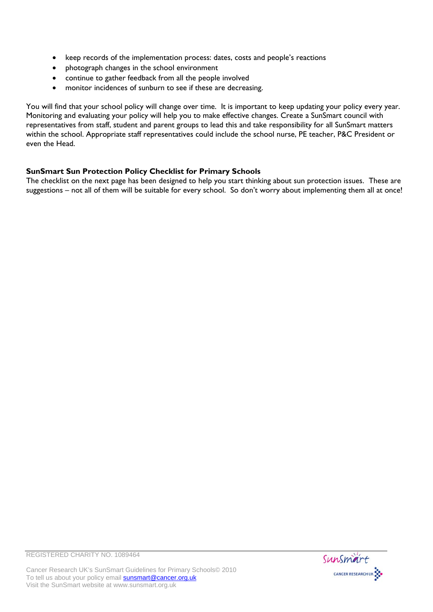- keep records of the implementation process: dates, costs and people's reactions
- photograph changes in the school environment
- continue to gather feedback from all the people involved
- monitor incidences of sunburn to see if these are decreasing.

You will find that your school policy will change over time. It is important to keep updating your policy every year. Monitoring and evaluating your policy will help you to make effective changes. Create a SunSmart council with representatives from staff, student and parent groups to lead this and take responsibility for all SunSmart matters within the school. Appropriate staff representatives could include the school nurse, PE teacher, P&C President or even the Head.

# **SunSmart Sun Protection Policy Checklist for Primary Schools**

The checklist on the next page has been designed to help you start thinking about sun protection issues. These are suggestions – not all of them will be suitable for every school. So don't worry about implementing them all at once!

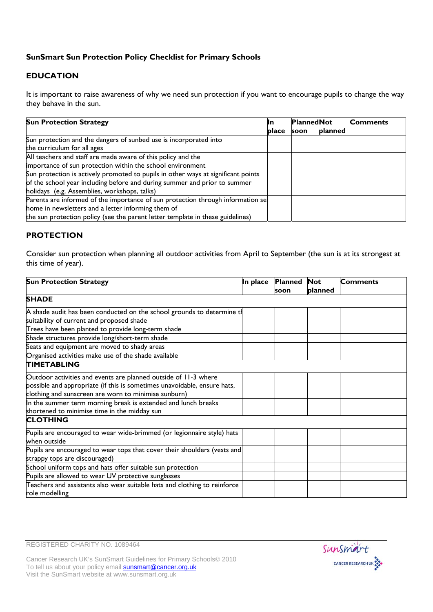# **SunSmart Sun Protection Policy Checklist for Primary Schools**

# **EDUCATION**

It is important to raise awareness of why we need sun protection if you want to encourage pupils to change the way they behave in the sun.

| <b>Sun Protection Strategy</b>                                                    | IIn          | <b>PlannedNot</b> |         | <b>Comments</b> |
|-----------------------------------------------------------------------------------|--------------|-------------------|---------|-----------------|
|                                                                                   | <b>place</b> | soon              | planned |                 |
| Sun protection and the dangers of sunbed use is incorporated into                 |              |                   |         |                 |
| the curriculum for all ages                                                       |              |                   |         |                 |
| All teachers and staff are made aware of this policy and the                      |              |                   |         |                 |
| importance of sun protection within the school environment                        |              |                   |         |                 |
| Sun protection is actively promoted to pupils in other ways at significant points |              |                   |         |                 |
| of the school year including before and during summer and prior to summer         |              |                   |         |                 |
| holidays (e.g. Assemblies, workshops, talks)                                      |              |                   |         |                 |
| Parents are informed of the importance of sun protection through information se   |              |                   |         |                 |
| home in newsletters and a letter informing them of                                |              |                   |         |                 |
| the sun protection policy (see the parent letter template in these guidelines)    |              |                   |         |                 |

# **PROTECTION**

Consider sun protection when planning all outdoor activities from April to September (the sun is at its strongest at this time of year).

| <b>Sun Protection Strategy</b>                                            | In place | Planned | <b>Not</b> | <b>Comments</b> |
|---------------------------------------------------------------------------|----------|---------|------------|-----------------|
|                                                                           |          | soon    | planned    |                 |
| <b>SHADE</b>                                                              |          |         |            |                 |
| A shade audit has been conducted on the school grounds to determine th    |          |         |            |                 |
| suitability of current and proposed shade                                 |          |         |            |                 |
| Trees have been planted to provide long-term shade                        |          |         |            |                 |
| Shade structures provide long/short-term shade                            |          |         |            |                 |
| Seats and equipment are moved to shady areas                              |          |         |            |                 |
| Organised activities make use of the shade available                      |          |         |            |                 |
| <b>TIMETABLING</b>                                                        |          |         |            |                 |
| Outdoor activities and events are planned outside of 11-3 where           |          |         |            |                 |
| possible and appropriate (if this is sometimes unavoidable, ensure hats,  |          |         |            |                 |
| clothing and sunscreen are worn to minimise sunburn)                      |          |         |            |                 |
| In the summer term morning break is extended and lunch breaks             |          |         |            |                 |
| shortened to minimise time in the midday sun                              |          |         |            |                 |
| <b>CLOTHING</b>                                                           |          |         |            |                 |
| Pupils are encouraged to wear wide-brimmed (or legionnaire style) hats    |          |         |            |                 |
| when outside                                                              |          |         |            |                 |
| Pupils are encouraged to wear tops that cover their shoulders (vests and  |          |         |            |                 |
| strappy tops are discouraged)                                             |          |         |            |                 |
| School uniform tops and hats offer suitable sun protection                |          |         |            |                 |
| Pupils are allowed to wear UV protective sunglasses                       |          |         |            |                 |
| Teachers and assistants also wear suitable hats and clothing to reinforce |          |         |            |                 |
| role modelling                                                            |          |         |            |                 |

REGISTERED CHARITY NO. 1089464



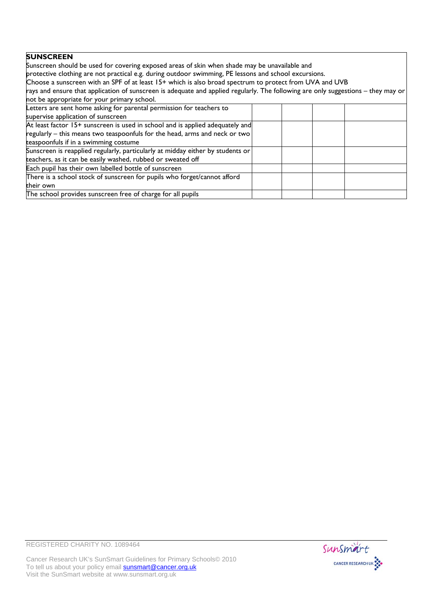## **SUNSCREEN**

Sunscreen should be used for covering exposed areas of skin when shade may be unavailable and protective clothing are not practical e.g. during outdoor swimming, PE lessons and school excursions. Choose a sunscreen with an SPF of at least 15+ which is also broad spectrum to protect from UVA and UVB rays and ensure that application of sunscreen is adequate and applied regularly. The following are only suggestions – they may or not be appropriate for your primary school. Letters are sent home asking for parental permission for teachers to supervise application of sunscreen At least factor 15+ sunscreen is used in school and is applied adequately and regularly – this means two teaspoonfuls for the head, arms and neck or two teaspoonfuls if in a swimming costume Sunscreen is reapplied regularly, particularly at midday either by students or teachers, as it can be easily washed, rubbed or sweated off

their own The school provides sunscreen free of charge for all pupils

There is a school stock of sunscreen for pupils who forget/cannot afford

Each pupil has their own labelled bottle of sunscreen

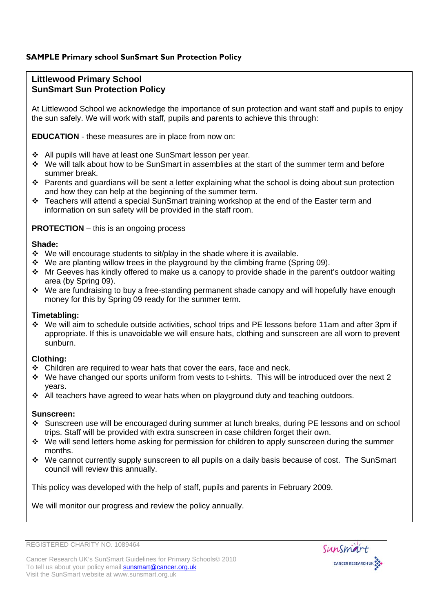# **SAMPLE Primary school SunSmart Sun Protection Policy**

# **Littlewood Primary School SunSmart Sun Protection Policy**

At Littlewood School we acknowledge the importance of sun protection and want staff and pupils to enjoy the sun safely. We will work with staff, pupils and parents to achieve this through:

**EDUCATION** - these measures are in place from now on:

- All pupils will have at least one SunSmart lesson per year.
- We will talk about how to be SunSmart in assemblies at the start of the summer term and before summer break.
- Parents and quardians will be sent a letter explaining what the school is doing about sun protection and how they can help at the beginning of the summer term.
- \* Teachers will attend a special SunSmart training workshop at the end of the Easter term and information on sun safety will be provided in the staff room.

## **PROTECTION** – this is an ongoing process

#### **Shade:**

- $\cdot$  We will encourage students to sit/play in the shade where it is available.
- $\cdot$  We are planting willow trees in the playground by the climbing frame (Spring 09).
- \* Mr Geeves has kindly offered to make us a canopy to provide shade in the parent's outdoor waiting area (by Spring 09).
- $\cdot \cdot$  We are fundraising to buy a free-standing permanent shade canopy and will hopefully have enough money for this by Spring 09 ready for the summer term.

### **Timetabling:**

 We will aim to schedule outside activities, school trips and PE lessons before 11am and after 3pm if appropriate. If this is unavoidable we will ensure hats, clothing and sunscreen are all worn to prevent sunburn.

#### **Clothing:**

- $\div$  Children are required to wear hats that cover the ears, face and neck.
- \* We have changed our sports uniform from vests to t-shirts. This will be introduced over the next 2 years.
- $\div$  All teachers have agreed to wear hats when on playground duty and teaching outdoors.

#### **Sunscreen:**

- Sunscreen use will be encouraged during summer at lunch breaks, during PE lessons and on school trips. Staff will be provided with extra sunscreen in case children forget their own.
- We will send letters home asking for permission for children to apply sunscreen during the summer months.
- We cannot currently supply sunscreen to all pupils on a daily basis because of cost. The SunSmart council will review this annually.

This policy was developed with the help of staff, pupils and parents in February 2009.

We will monitor our progress and review the policy annually.

REGISTERED CHARITY NO. 1089464